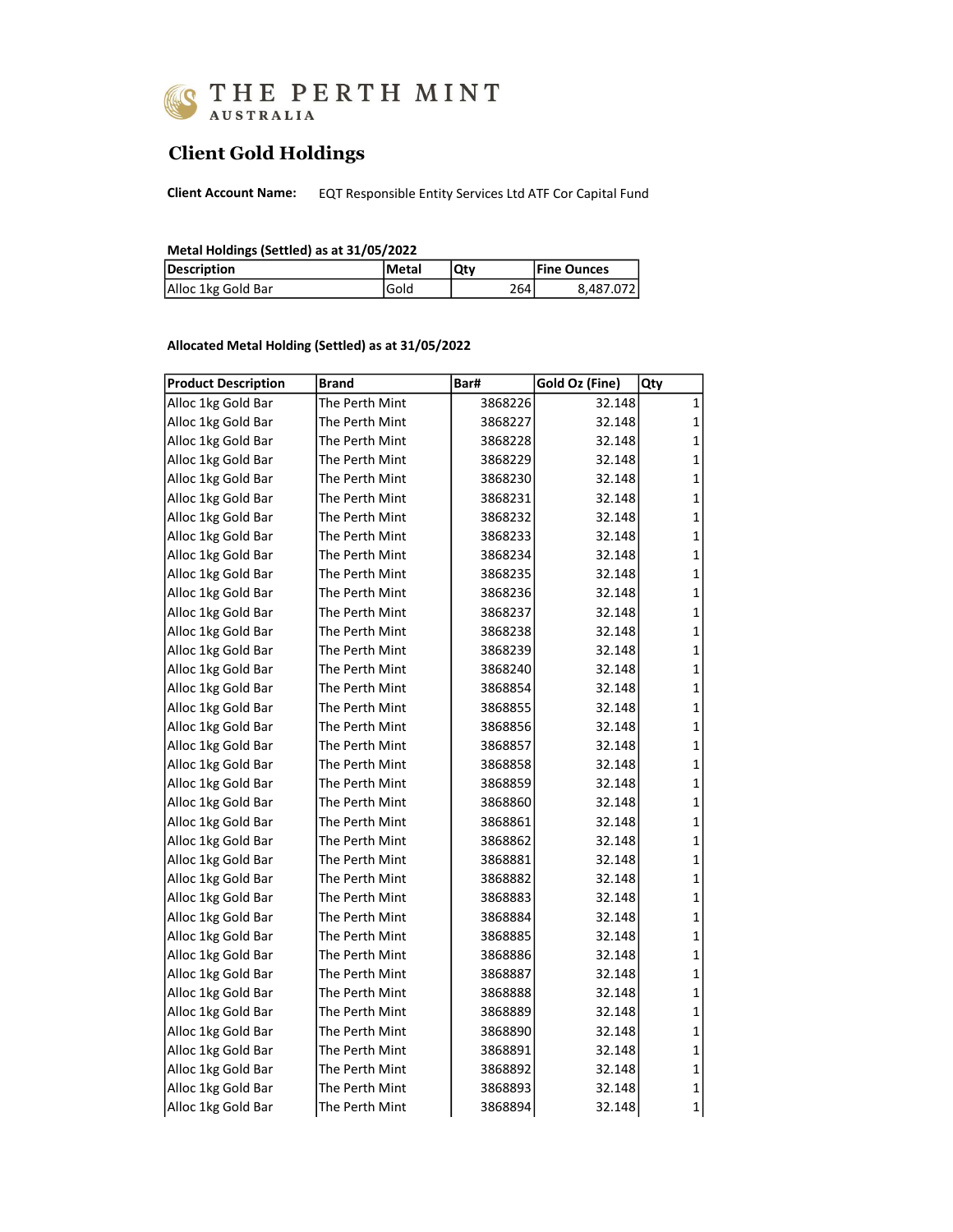

## Client Gold Holdings

Client Account Name: EQT Responsible Entity Services Ltd ATF Cor Capital Fund

| Metal Holdings (Settled) as at 31/05/2022 |  |  |  |
|-------------------------------------------|--|--|--|
|-------------------------------------------|--|--|--|

| Description        | lMetal | Qty | <b>Fine Ounces</b> |
|--------------------|--------|-----|--------------------|
| Alloc 1kg Gold Bar | .Gold  | 264 | 8.487.072          |

## Allocated Metal Holding (Settled) as at 31/05/2022

| <b>Product Description</b> | <b>Brand</b>   | Bar#    | Gold Oz (Fine) | Qty         |
|----------------------------|----------------|---------|----------------|-------------|
| Alloc 1kg Gold Bar         | The Perth Mint | 3868226 | 32.148         | 1           |
| Alloc 1kg Gold Bar         | The Perth Mint | 3868227 | 32.148         | 1           |
| Alloc 1kg Gold Bar         | The Perth Mint | 3868228 | 32.148         | 1           |
| Alloc 1kg Gold Bar         | The Perth Mint | 3868229 | 32.148         | 1           |
| Alloc 1kg Gold Bar         | The Perth Mint | 3868230 | 32.148         | 1           |
| Alloc 1kg Gold Bar         | The Perth Mint | 3868231 | 32.148         | 1           |
| Alloc 1kg Gold Bar         | The Perth Mint | 3868232 | 32.148         | 1           |
| Alloc 1kg Gold Bar         | The Perth Mint | 3868233 | 32.148         | 1           |
| Alloc 1kg Gold Bar         | The Perth Mint | 3868234 | 32.148         | 1           |
| Alloc 1kg Gold Bar         | The Perth Mint | 3868235 | 32.148         | 1           |
| Alloc 1kg Gold Bar         | The Perth Mint | 3868236 | 32.148         | 1           |
| Alloc 1kg Gold Bar         | The Perth Mint | 3868237 | 32.148         | 1           |
| Alloc 1kg Gold Bar         | The Perth Mint | 3868238 | 32.148         | 1           |
| Alloc 1kg Gold Bar         | The Perth Mint | 3868239 | 32.148         | 1           |
| Alloc 1kg Gold Bar         | The Perth Mint | 3868240 | 32.148         | 1           |
| Alloc 1kg Gold Bar         | The Perth Mint | 3868854 | 32.148         | 1           |
| Alloc 1kg Gold Bar         | The Perth Mint | 3868855 | 32.148         | 1           |
| Alloc 1kg Gold Bar         | The Perth Mint | 3868856 | 32.148         | 1           |
| Alloc 1kg Gold Bar         | The Perth Mint | 3868857 | 32.148         | 1           |
| Alloc 1kg Gold Bar         | The Perth Mint | 3868858 | 32.148         | 1           |
| Alloc 1kg Gold Bar         | The Perth Mint | 3868859 | 32.148         | 1           |
| Alloc 1kg Gold Bar         | The Perth Mint | 3868860 | 32.148         | 1           |
| Alloc 1kg Gold Bar         | The Perth Mint | 3868861 | 32.148         | 1           |
| Alloc 1kg Gold Bar         | The Perth Mint | 3868862 | 32.148         | 1           |
| Alloc 1kg Gold Bar         | The Perth Mint | 3868881 | 32.148         | 1           |
| Alloc 1kg Gold Bar         | The Perth Mint | 3868882 | 32.148         | 1           |
| Alloc 1kg Gold Bar         | The Perth Mint | 3868883 | 32.148         | 1           |
| Alloc 1kg Gold Bar         | The Perth Mint | 3868884 | 32.148         | 1           |
| Alloc 1kg Gold Bar         | The Perth Mint | 3868885 | 32.148         | 1           |
| Alloc 1kg Gold Bar         | The Perth Mint | 3868886 | 32.148         | 1           |
| Alloc 1kg Gold Bar         | The Perth Mint | 3868887 | 32.148         | 1           |
| Alloc 1kg Gold Bar         | The Perth Mint | 3868888 | 32.148         | 1           |
| Alloc 1kg Gold Bar         | The Perth Mint | 3868889 | 32.148         | 1           |
| Alloc 1kg Gold Bar         | The Perth Mint | 3868890 | 32.148         | 1           |
| Alloc 1kg Gold Bar         | The Perth Mint | 3868891 | 32.148         | 1           |
| Alloc 1kg Gold Bar         | The Perth Mint | 3868892 | 32.148         | 1           |
| Alloc 1kg Gold Bar         | The Perth Mint | 3868893 | 32.148         | 1           |
| Alloc 1kg Gold Bar         | The Perth Mint | 3868894 | 32.148         | $\mathbf 1$ |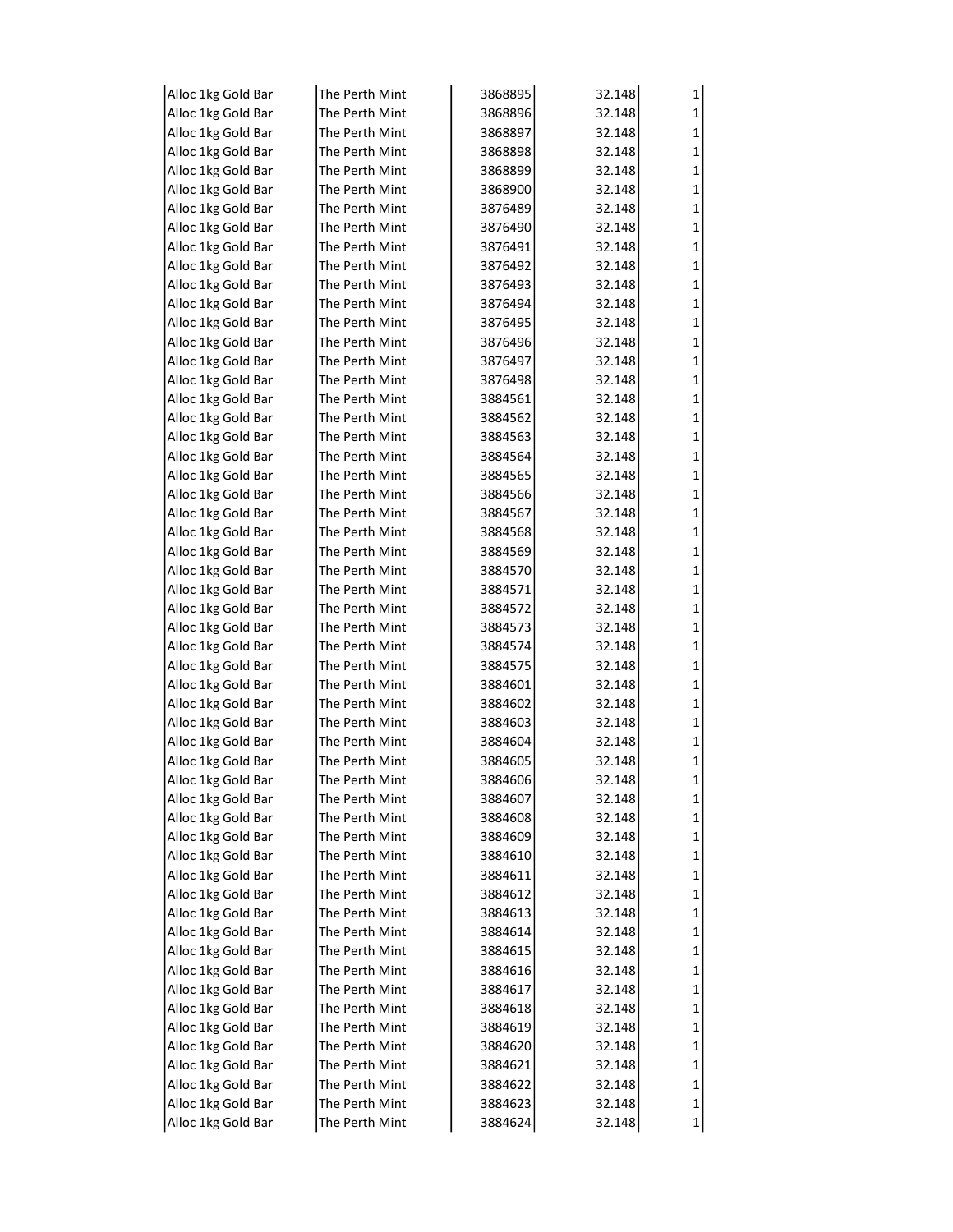| Alloc 1kg Gold Bar | The Perth Mint  | 3868895 | 32.148 | 1      |
|--------------------|-----------------|---------|--------|--------|
| Alloc 1kg Gold Bar | The Perth Mint  | 3868896 | 32.148 | 1      |
| Alloc 1kg Gold Bar | The Perth Mint  | 3868897 | 32.148 | 1      |
| Alloc 1kg Gold Bar | The Perth Mint  | 3868898 | 32.148 | 1      |
| Alloc 1kg Gold Bar | The Perth Mint  | 3868899 | 32.148 | 1      |
| Alloc 1kg Gold Bar | The Perth Mint  | 3868900 | 32.148 | 1      |
| Alloc 1kg Gold Bar | The Perth Mint  | 3876489 | 32.148 | 1      |
| Alloc 1kg Gold Bar | The Perth Mint  | 3876490 | 32.148 | 1      |
| Alloc 1kg Gold Bar | The Perth Mint  | 3876491 | 32.148 | 1      |
| Alloc 1kg Gold Bar | The Perth Mint  | 3876492 | 32.148 | 1      |
| Alloc 1kg Gold Bar | The Perth Mint  | 3876493 | 32.148 | 1      |
| Alloc 1kg Gold Bar | The Perth Mint  | 3876494 | 32.148 | 1      |
| Alloc 1kg Gold Bar | The Perth Mint  | 3876495 | 32.148 | 1      |
| Alloc 1kg Gold Bar | The Perth Mint  | 3876496 | 32.148 | 1      |
| Alloc 1kg Gold Bar | The Perth Mint  | 3876497 | 32.148 | 1      |
| Alloc 1kg Gold Bar | The Perth Mint  | 3876498 | 32.148 | 1      |
| Alloc 1kg Gold Bar | The Perth Mint  | 3884561 | 32.148 | 1      |
| Alloc 1kg Gold Bar | The Perth Mint  | 3884562 | 32.148 | 1      |
| Alloc 1kg Gold Bar | The Perth Mint  | 3884563 | 32.148 | 1      |
| Alloc 1kg Gold Bar | The Perth Mint  | 3884564 | 32.148 | 1      |
| Alloc 1kg Gold Bar | The Perth Mint  | 3884565 | 32.148 | 1      |
| Alloc 1kg Gold Bar | The Perth Mint  | 3884566 | 32.148 | 1      |
| Alloc 1kg Gold Bar | The Perth Mint  | 3884567 | 32.148 | 1      |
| Alloc 1kg Gold Bar | The Perth Mint  | 3884568 | 32.148 | 1      |
| Alloc 1kg Gold Bar | The Perth Mint  | 3884569 | 32.148 | 1      |
| Alloc 1kg Gold Bar | The Perth Mint  | 3884570 | 32.148 | 1      |
| Alloc 1kg Gold Bar | The Perth Mint  | 3884571 | 32.148 | 1      |
| Alloc 1kg Gold Bar | The Perth Mint  | 3884572 | 32.148 | 1      |
| Alloc 1kg Gold Bar | The Perth Mint  | 3884573 | 32.148 | 1      |
| Alloc 1kg Gold Bar | The Perth Mint  | 3884574 | 32.148 | 1      |
| Alloc 1kg Gold Bar | The Perth Mint  | 3884575 | 32.148 | 1      |
| Alloc 1kg Gold Bar | The Perth Mint  | 3884601 | 32.148 | 1      |
| Alloc 1kg Gold Bar | The Perth Mint  | 3884602 | 32.148 | 1      |
| Alloc 1kg Gold Bar | The Perth Mint  | 3884603 | 32.148 | 1      |
| Alloc 1kg Gold Bar | The Perth Mint  | 3884604 | 32.148 | 1      |
| Alloc 1kg Gold Bar | The Perth Mint  | 3884605 | 32.148 | 1      |
| Alloc 1kg Gold Bar | lThe Perth Mint | 3884606 | 32.148 |        |
| Alloc 1kg Gold Bar | The Perth Mint  | 3884607 | 32.148 | 1      |
| Alloc 1kg Gold Bar | The Perth Mint  | 3884608 | 32.148 | 1      |
| Alloc 1kg Gold Bar | The Perth Mint  | 3884609 | 32.148 | 1      |
| Alloc 1kg Gold Bar | The Perth Mint  | 3884610 | 32.148 | 1      |
| Alloc 1kg Gold Bar | The Perth Mint  | 3884611 | 32.148 | 1      |
| Alloc 1kg Gold Bar | The Perth Mint  | 3884612 | 32.148 | 1      |
| Alloc 1kg Gold Bar | The Perth Mint  | 3884613 | 32.148 | 1      |
| Alloc 1kg Gold Bar | The Perth Mint  | 3884614 | 32.148 | 1      |
| Alloc 1kg Gold Bar | The Perth Mint  | 3884615 | 32.148 | 1      |
| Alloc 1kg Gold Bar | The Perth Mint  | 3884616 | 32.148 | 1      |
| Alloc 1kg Gold Bar | The Perth Mint  | 3884617 | 32.148 | 1      |
| Alloc 1kg Gold Bar | The Perth Mint  | 3884618 | 32.148 | 1      |
| Alloc 1kg Gold Bar | The Perth Mint  | 3884619 | 32.148 | 1      |
| Alloc 1kg Gold Bar | The Perth Mint  | 3884620 | 32.148 | 1      |
| Alloc 1kg Gold Bar | The Perth Mint  | 3884621 | 32.148 | 1      |
| Alloc 1kg Gold Bar | The Perth Mint  | 3884622 | 32.148 | 1      |
| Alloc 1kg Gold Bar | The Perth Mint  | 3884623 | 32.148 |        |
| Alloc 1kg Gold Bar | The Perth Mint  | 3884624 | 32.148 | 1<br>1 |
|                    |                 |         |        |        |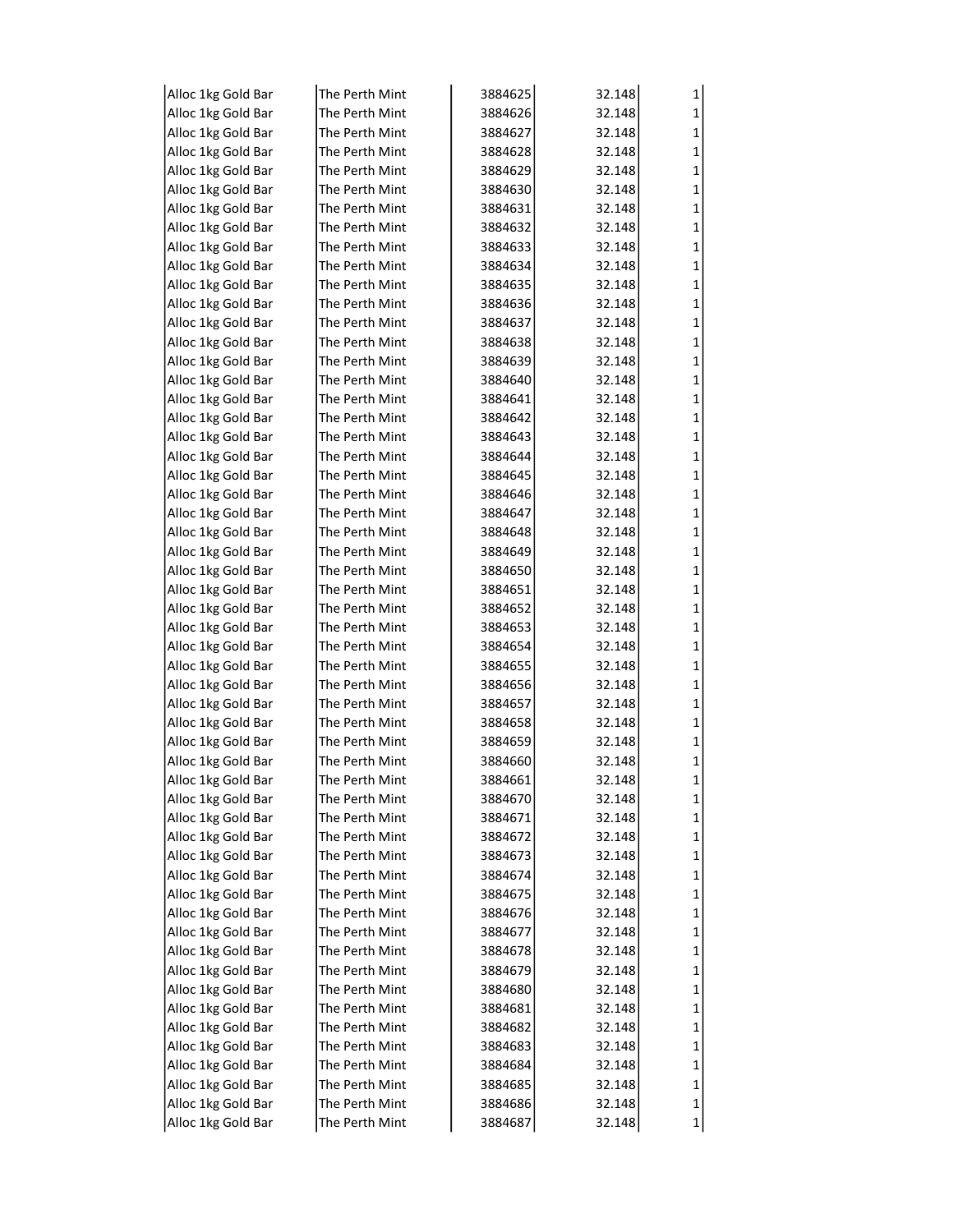| Alloc 1kg Gold Bar | The Perth Mint | 3884625 | 32.148 | 1 |
|--------------------|----------------|---------|--------|---|
| Alloc 1kg Gold Bar | The Perth Mint | 3884626 | 32.148 | 1 |
| Alloc 1kg Gold Bar | The Perth Mint | 3884627 | 32.148 | 1 |
| Alloc 1kg Gold Bar | The Perth Mint | 3884628 | 32.148 | 1 |
| Alloc 1kg Gold Bar | The Perth Mint | 3884629 | 32.148 | 1 |
| Alloc 1kg Gold Bar | The Perth Mint | 3884630 | 32.148 | 1 |
| Alloc 1kg Gold Bar | The Perth Mint | 3884631 | 32.148 | 1 |
| Alloc 1kg Gold Bar | The Perth Mint | 3884632 | 32.148 | 1 |
| Alloc 1kg Gold Bar | The Perth Mint | 3884633 | 32.148 | 1 |
| Alloc 1kg Gold Bar | The Perth Mint | 3884634 | 32.148 | 1 |
| Alloc 1kg Gold Bar | The Perth Mint | 3884635 | 32.148 | 1 |
| Alloc 1kg Gold Bar | The Perth Mint | 3884636 | 32.148 | 1 |
| Alloc 1kg Gold Bar | The Perth Mint | 3884637 | 32.148 | 1 |
| Alloc 1kg Gold Bar | The Perth Mint | 3884638 | 32.148 | 1 |
|                    | The Perth Mint |         |        |   |
| Alloc 1kg Gold Bar |                | 3884639 | 32.148 | 1 |
| Alloc 1kg Gold Bar | The Perth Mint | 3884640 | 32.148 | 1 |
| Alloc 1kg Gold Bar | The Perth Mint | 3884641 | 32.148 | 1 |
| Alloc 1kg Gold Bar | The Perth Mint | 3884642 | 32.148 | 1 |
| Alloc 1kg Gold Bar | The Perth Mint | 3884643 | 32.148 | 1 |
| Alloc 1kg Gold Bar | The Perth Mint | 3884644 | 32.148 | 1 |
| Alloc 1kg Gold Bar | The Perth Mint | 3884645 | 32.148 | 1 |
| Alloc 1kg Gold Bar | The Perth Mint | 3884646 | 32.148 | 1 |
| Alloc 1kg Gold Bar | The Perth Mint | 3884647 | 32.148 | 1 |
| Alloc 1kg Gold Bar | The Perth Mint | 3884648 | 32.148 | 1 |
| Alloc 1kg Gold Bar | The Perth Mint | 3884649 | 32.148 | 1 |
| Alloc 1kg Gold Bar | The Perth Mint | 3884650 | 32.148 | 1 |
| Alloc 1kg Gold Bar | The Perth Mint | 3884651 | 32.148 | 1 |
| Alloc 1kg Gold Bar | The Perth Mint | 3884652 | 32.148 | 1 |
| Alloc 1kg Gold Bar | The Perth Mint | 3884653 | 32.148 | 1 |
| Alloc 1kg Gold Bar | The Perth Mint | 3884654 | 32.148 | 1 |
| Alloc 1kg Gold Bar | The Perth Mint | 3884655 | 32.148 | 1 |
| Alloc 1kg Gold Bar | The Perth Mint | 3884656 | 32.148 | 1 |
| Alloc 1kg Gold Bar | The Perth Mint | 3884657 | 32.148 | 1 |
| Alloc 1kg Gold Bar | The Perth Mint | 3884658 | 32.148 | 1 |
| Alloc 1kg Gold Bar | The Perth Mint | 3884659 | 32.148 | 1 |
| Alloc 1kg Gold Bar | The Perth Mint | 3884660 | 32.148 | 1 |
| Alloc 1kg Gold Bar | The Perth Mint | 3884661 | 32.148 |   |
| Alloc 1kg Gold Bar | The Perth Mint | 3884670 | 32.148 | 1 |
| Alloc 1kg Gold Bar | The Perth Mint | 3884671 | 32.148 | 1 |
| Alloc 1kg Gold Bar | The Perth Mint | 3884672 | 32.148 | 1 |
| Alloc 1kg Gold Bar | The Perth Mint | 3884673 | 32.148 | 1 |
| Alloc 1kg Gold Bar | The Perth Mint | 3884674 | 32.148 | 1 |
| Alloc 1kg Gold Bar | The Perth Mint | 3884675 | 32.148 | 1 |
| Alloc 1kg Gold Bar | The Perth Mint | 3884676 | 32.148 | 1 |
| Alloc 1kg Gold Bar | The Perth Mint | 3884677 | 32.148 | 1 |
| Alloc 1kg Gold Bar | The Perth Mint | 3884678 | 32.148 | 1 |
| Alloc 1kg Gold Bar | The Perth Mint | 3884679 | 32.148 | 1 |
| Alloc 1kg Gold Bar | The Perth Mint | 3884680 | 32.148 | 1 |
| Alloc 1kg Gold Bar | The Perth Mint | 3884681 | 32.148 | 1 |
| Alloc 1kg Gold Bar | The Perth Mint | 3884682 | 32.148 | 1 |
| Alloc 1kg Gold Bar | The Perth Mint | 3884683 | 32.148 | 1 |
| Alloc 1kg Gold Bar | The Perth Mint | 3884684 | 32.148 | 1 |
| Alloc 1kg Gold Bar | The Perth Mint | 3884685 | 32.148 | 1 |
| Alloc 1kg Gold Bar | The Perth Mint | 3884686 | 32.148 | 1 |
| Alloc 1kg Gold Bar | The Perth Mint | 3884687 | 32.148 | 1 |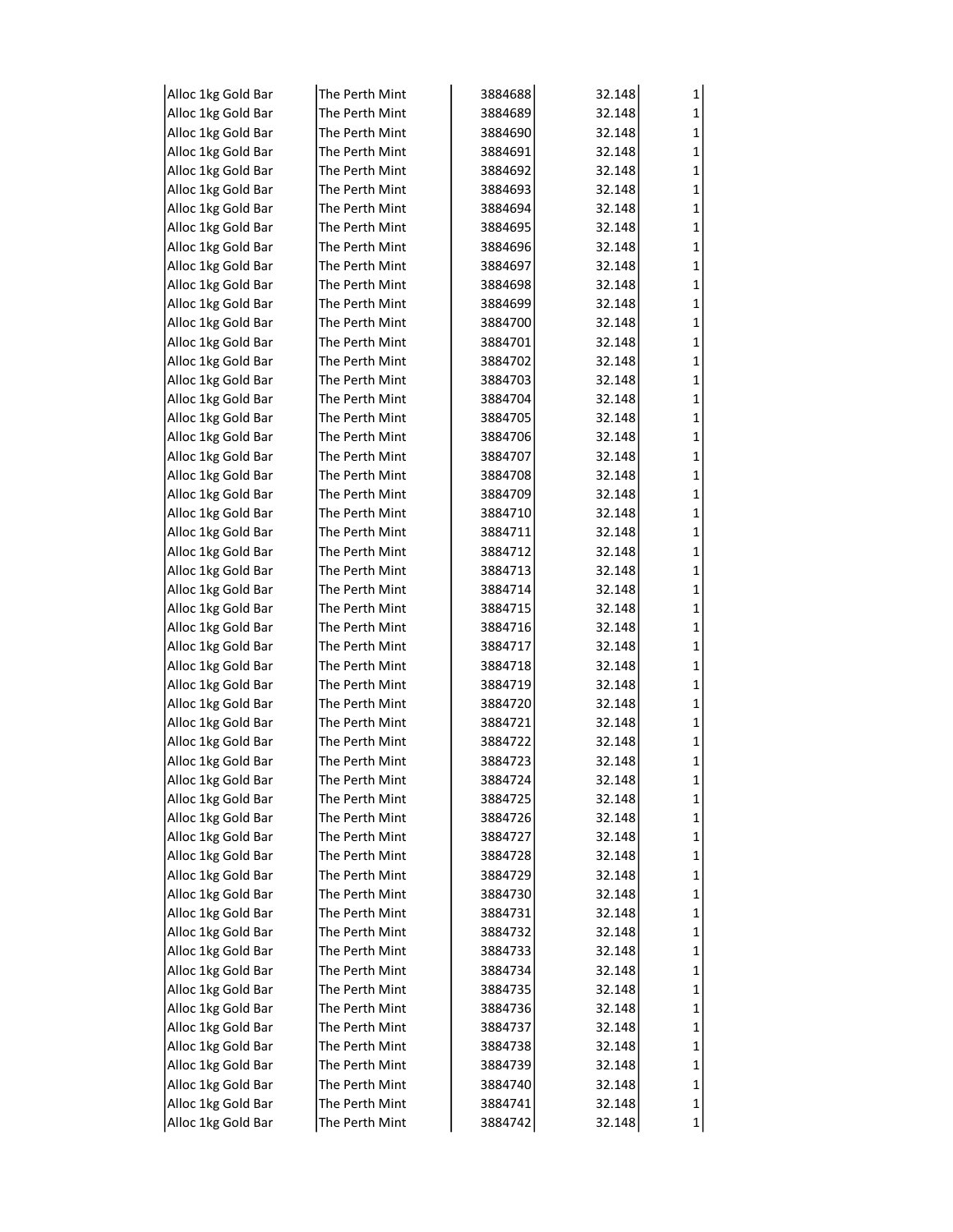| Alloc 1kg Gold Bar | The Perth Mint  | 3884688            | 32.148 | 1 |
|--------------------|-----------------|--------------------|--------|---|
| Alloc 1kg Gold Bar | The Perth Mint  | 3884689            | 32.148 | 1 |
| Alloc 1kg Gold Bar | The Perth Mint  | 3884690            | 32.148 | 1 |
| Alloc 1kg Gold Bar | The Perth Mint  | 3884691            | 32.148 | 1 |
| Alloc 1kg Gold Bar | The Perth Mint  | 3884692            | 32.148 | 1 |
| Alloc 1kg Gold Bar | The Perth Mint  | 3884693            | 32.148 | 1 |
| Alloc 1kg Gold Bar | The Perth Mint  | 3884694            | 32.148 | 1 |
| Alloc 1kg Gold Bar | The Perth Mint  | 3884695            | 32.148 | 1 |
| Alloc 1kg Gold Bar | The Perth Mint  | 3884696            | 32.148 | 1 |
| Alloc 1kg Gold Bar | The Perth Mint  | 3884697            | 32.148 | 1 |
| Alloc 1kg Gold Bar | The Perth Mint  | 3884698            | 32.148 | 1 |
| Alloc 1kg Gold Bar | The Perth Mint  | 3884699            | 32.148 | 1 |
| Alloc 1kg Gold Bar | The Perth Mint  | 3884700            | 32.148 | 1 |
| Alloc 1kg Gold Bar | The Perth Mint  | 3884701            | 32.148 | 1 |
| Alloc 1kg Gold Bar | The Perth Mint  | 3884702            | 32.148 | 1 |
| Alloc 1kg Gold Bar | The Perth Mint  | 3884703            | 32.148 | 1 |
| Alloc 1kg Gold Bar | The Perth Mint  | 3884704            | 32.148 | 1 |
| Alloc 1kg Gold Bar | The Perth Mint  | 3884705            | 32.148 | 1 |
| Alloc 1kg Gold Bar | The Perth Mint  | 3884706            | 32.148 | 1 |
| Alloc 1kg Gold Bar | The Perth Mint  | 3884707            | 32.148 | 1 |
| Alloc 1kg Gold Bar | The Perth Mint  | 3884708            | 32.148 | 1 |
| Alloc 1kg Gold Bar | The Perth Mint  | 3884709            | 32.148 | 1 |
| Alloc 1kg Gold Bar | The Perth Mint  | 3884710            | 32.148 | 1 |
| Alloc 1kg Gold Bar | The Perth Mint  | 3884711            | 32.148 | 1 |
| Alloc 1kg Gold Bar | The Perth Mint  | 3884712            | 32.148 | 1 |
| Alloc 1kg Gold Bar | The Perth Mint  | 3884713            | 32.148 | 1 |
| Alloc 1kg Gold Bar | The Perth Mint  | 3884714            | 32.148 | 1 |
| Alloc 1kg Gold Bar | The Perth Mint  | 3884715            | 32.148 | 1 |
| Alloc 1kg Gold Bar | The Perth Mint  | 3884716            | 32.148 | 1 |
| Alloc 1kg Gold Bar | The Perth Mint  | 3884717            | 32.148 | 1 |
| Alloc 1kg Gold Bar | The Perth Mint  | 3884718            | 32.148 | 1 |
| Alloc 1kg Gold Bar | The Perth Mint  | 3884719            | 32.148 | 1 |
| Alloc 1kg Gold Bar | The Perth Mint  | 3884720            | 32.148 | 1 |
| Alloc 1kg Gold Bar | The Perth Mint  | 3884721            | 32.148 | 1 |
| Alloc 1kg Gold Bar | The Perth Mint  | 3884722            | 32.148 | 1 |
| Alloc 1kg Gold Bar | The Perth Mint  | 3884723            | 32.148 | 1 |
| Alloc 1kg Gold Bar | lThe Perth Mint | 3884724            | 32.148 |   |
| Alloc 1kg Gold Bar | The Perth Mint  | 3884725            | 32.148 | 1 |
| Alloc 1kg Gold Bar | The Perth Mint  | 3884726            | 32.148 | 1 |
| Alloc 1kg Gold Bar | The Perth Mint  | 3884727            | 32.148 | 1 |
| Alloc 1kg Gold Bar | The Perth Mint  | 3884728            | 32.148 | 1 |
| Alloc 1kg Gold Bar | The Perth Mint  | 3884729            | 32.148 | 1 |
| Alloc 1kg Gold Bar | The Perth Mint  | 3884730            | 32.148 | 1 |
| Alloc 1kg Gold Bar | The Perth Mint  | 3884731            | 32.148 | 1 |
| Alloc 1kg Gold Bar | The Perth Mint  | 3884732            | 32.148 | 1 |
| Alloc 1kg Gold Bar | The Perth Mint  | 3884733            | 32.148 | 1 |
| Alloc 1kg Gold Bar | The Perth Mint  | 3884734            | 32.148 | 1 |
| Alloc 1kg Gold Bar | The Perth Mint  | 3884735            | 32.148 | 1 |
|                    | The Perth Mint  |                    |        |   |
| Alloc 1kg Gold Bar | The Perth Mint  | 3884736<br>3884737 | 32.148 | 1 |
| Alloc 1kg Gold Bar | The Perth Mint  |                    | 32.148 | 1 |
| Alloc 1kg Gold Bar |                 | 3884738            | 32.148 | 1 |
| Alloc 1kg Gold Bar | The Perth Mint  | 3884739            | 32.148 | 1 |
| Alloc 1kg Gold Bar | The Perth Mint  | 3884740            | 32.148 | 1 |
| Alloc 1kg Gold Bar | The Perth Mint  | 3884741            | 32.148 | 1 |
| Alloc 1kg Gold Bar | The Perth Mint  | 3884742            | 32.148 | 1 |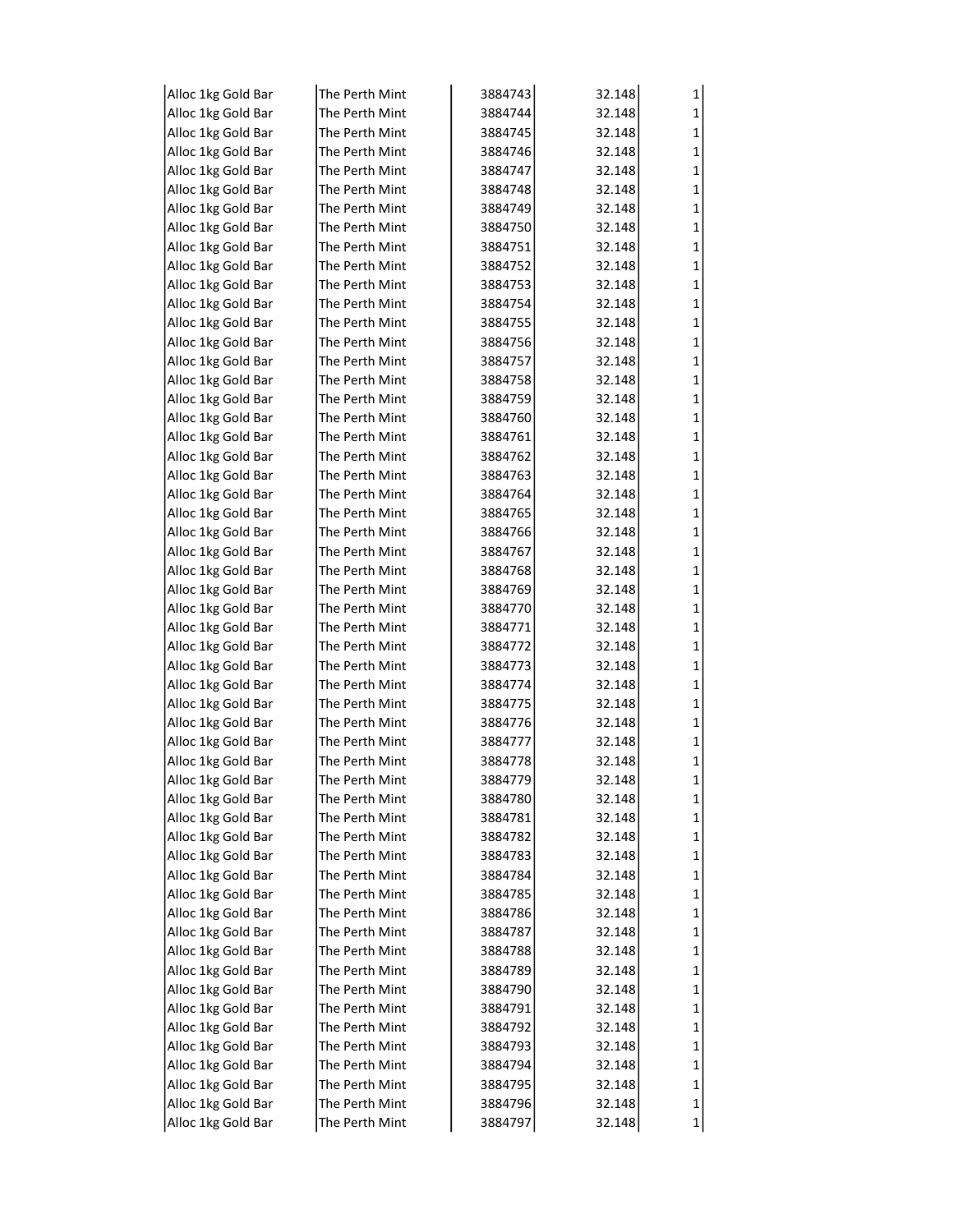| Alloc 1kg Gold Bar | The Perth Mint | 3884743 | 32.148 | 1 |
|--------------------|----------------|---------|--------|---|
| Alloc 1kg Gold Bar | The Perth Mint | 3884744 | 32.148 | 1 |
| Alloc 1kg Gold Bar | The Perth Mint | 3884745 | 32.148 | 1 |
| Alloc 1kg Gold Bar | The Perth Mint | 3884746 | 32.148 | 1 |
| Alloc 1kg Gold Bar | The Perth Mint | 3884747 | 32.148 | 1 |
| Alloc 1kg Gold Bar | The Perth Mint | 3884748 | 32.148 | 1 |
| Alloc 1kg Gold Bar | The Perth Mint | 3884749 | 32.148 | 1 |
| Alloc 1kg Gold Bar | The Perth Mint | 3884750 | 32.148 | 1 |
| Alloc 1kg Gold Bar | The Perth Mint | 3884751 | 32.148 | 1 |
| Alloc 1kg Gold Bar | The Perth Mint | 3884752 | 32.148 | 1 |
| Alloc 1kg Gold Bar | The Perth Mint | 3884753 | 32.148 | 1 |
| Alloc 1kg Gold Bar | The Perth Mint | 3884754 | 32.148 | 1 |
| Alloc 1kg Gold Bar | The Perth Mint | 3884755 | 32.148 | 1 |
| Alloc 1kg Gold Bar | The Perth Mint | 3884756 | 32.148 | 1 |
| Alloc 1kg Gold Bar | The Perth Mint | 3884757 | 32.148 | 1 |
| Alloc 1kg Gold Bar | The Perth Mint | 3884758 | 32.148 | 1 |
| Alloc 1kg Gold Bar | The Perth Mint | 3884759 | 32.148 | 1 |
| Alloc 1kg Gold Bar | The Perth Mint | 3884760 | 32.148 | 1 |
| Alloc 1kg Gold Bar | The Perth Mint | 3884761 | 32.148 | 1 |
| Alloc 1kg Gold Bar | The Perth Mint | 3884762 | 32.148 | 1 |
| Alloc 1kg Gold Bar | The Perth Mint | 3884763 | 32.148 | 1 |
| Alloc 1kg Gold Bar | The Perth Mint | 3884764 | 32.148 | 1 |
| Alloc 1kg Gold Bar | The Perth Mint | 3884765 | 32.148 | 1 |
| Alloc 1kg Gold Bar | The Perth Mint | 3884766 | 32.148 | 1 |
| Alloc 1kg Gold Bar | The Perth Mint | 3884767 | 32.148 | 1 |
| Alloc 1kg Gold Bar | The Perth Mint | 3884768 | 32.148 | 1 |
| Alloc 1kg Gold Bar | The Perth Mint | 3884769 | 32.148 | 1 |
| Alloc 1kg Gold Bar | The Perth Mint | 3884770 | 32.148 | 1 |
| Alloc 1kg Gold Bar | The Perth Mint | 3884771 | 32.148 | 1 |
| Alloc 1kg Gold Bar | The Perth Mint | 3884772 | 32.148 | 1 |
| Alloc 1kg Gold Bar | The Perth Mint | 3884773 | 32.148 | 1 |
| Alloc 1kg Gold Bar | The Perth Mint | 3884774 | 32.148 | 1 |
| Alloc 1kg Gold Bar | The Perth Mint | 3884775 | 32.148 | 1 |
| Alloc 1kg Gold Bar | The Perth Mint | 3884776 | 32.148 | 1 |
| Alloc 1kg Gold Bar | The Perth Mint | 3884777 | 32.148 | 1 |
| Alloc 1kg Gold Bar | The Perth Mint | 3884778 | 32.148 | 1 |
| Alloc 1kg Gold Bar | The Perth Mint | 3884779 | 32.148 |   |
| Alloc 1kg Gold Bar | The Perth Mint | 3884780 | 32.148 | 1 |
| Alloc 1kg Gold Bar | The Perth Mint | 3884781 | 32.148 | 1 |
| Alloc 1kg Gold Bar | The Perth Mint | 3884782 | 32.148 | 1 |
| Alloc 1kg Gold Bar | The Perth Mint | 3884783 | 32.148 | 1 |
| Alloc 1kg Gold Bar | The Perth Mint | 3884784 | 32.148 | 1 |
| Alloc 1kg Gold Bar | The Perth Mint | 3884785 | 32.148 | 1 |
| Alloc 1kg Gold Bar | The Perth Mint | 3884786 | 32.148 | 1 |
| Alloc 1kg Gold Bar | The Perth Mint | 3884787 | 32.148 | 1 |
| Alloc 1kg Gold Bar | The Perth Mint | 3884788 | 32.148 | 1 |
| Alloc 1kg Gold Bar | The Perth Mint | 3884789 | 32.148 | 1 |
| Alloc 1kg Gold Bar | The Perth Mint | 3884790 | 32.148 | 1 |
| Alloc 1kg Gold Bar | The Perth Mint | 3884791 | 32.148 | 1 |
| Alloc 1kg Gold Bar | The Perth Mint | 3884792 | 32.148 | 1 |
| Alloc 1kg Gold Bar | The Perth Mint | 3884793 | 32.148 | 1 |
| Alloc 1kg Gold Bar | The Perth Mint | 3884794 | 32.148 | 1 |
| Alloc 1kg Gold Bar | The Perth Mint | 3884795 | 32.148 | 1 |
| Alloc 1kg Gold Bar | The Perth Mint | 3884796 | 32.148 | 1 |
| Alloc 1kg Gold Bar | The Perth Mint | 3884797 | 32.148 | 1 |
|                    |                |         |        |   |